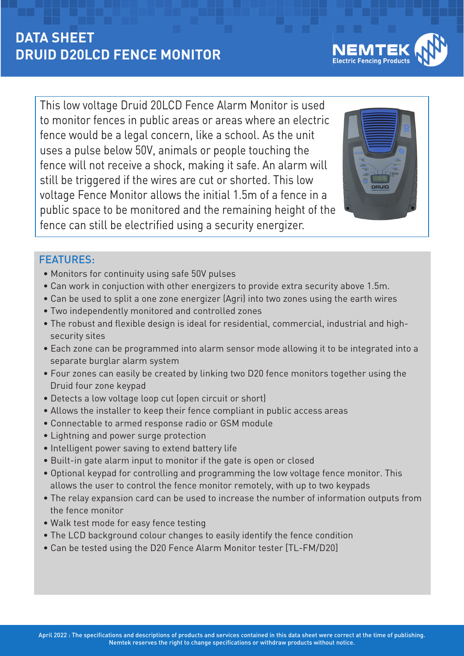## **DATA SHEET DRUID D20LCD FENCE MONITOR**

This low voltage Druid 20LCD Fence Alarm Monitor is used to monitor fences in public areas or areas where an electric fence would be a legal concern, like a school. As the unit uses a pulse below 50V, animals or people touching the fence will not receive a shock, making it safe. An alarm will still be triggered if the wires are cut or shorted. This low voltage Fence Monitor allows the initial 1.5m of a fence in a public space to be monitored and the remaining height of the fence can still be electrified using a security energizer.



## FEATURES:

- Monitors for continuity using safe 50V pulses
- Can work in conjuction with other energizers to provide extra security above 1.5m.
- Can be used to split a one zone energizer (Agri) into two zones using the earth wires
- Two independently monitored and controlled zones
- The robust and flexible design is ideal for residential, commercial, industrial and high security sites
- Each zone can be programmed into alarm sensor mode allowing it to be integrated into a separate burglar alarm system
- Four zones can easily be created by linking two D20 fence monitors together using the Druid four zone keypad
- Detects a low voltage loop cut (open circuit or short)
- Allows the installer to keep their fence compliant in public access areas
- Connectable to armed response radio or GSM module
- Lightning and power surge protection
- Intelligent power saving to extend battery life
- Built-in gate alarm input to monitor if the gate is open or closed
- Optional keypad for controlling and programming the low voltage fence monitor. This allows the user to control the fence monitor remotely, with up to two keypads
- The relay expansion card can be used to increase the number of information outputs from the fence monitor
- Walk test mode for easy fence testing
- The LCD background colour changes to easily identify the fence condition
- Can be tested using the D20 Fence Alarm Monitor tester [TL-FM/D20]